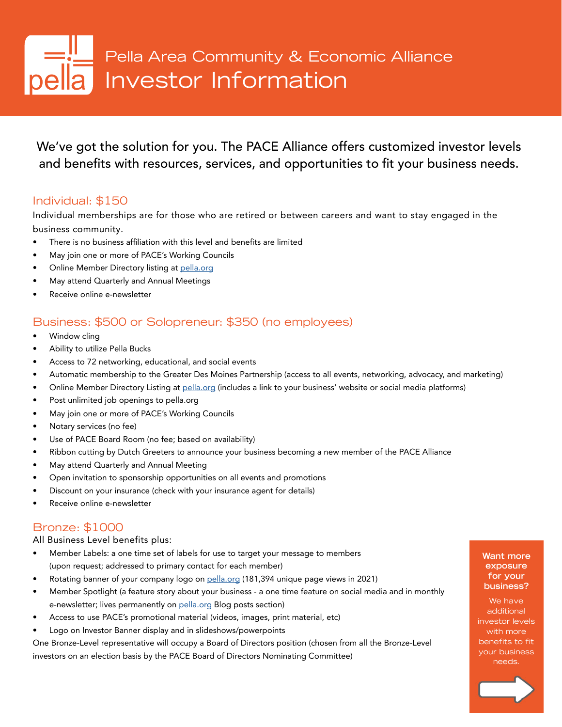# Pella Area Community & Economic Alliance **Ia** Investor Information

We've got the solution for you. The PACE Alliance offers customized investor levels and benefits with resources, services, and opportunities to fit your business needs.

#### Individual: \$150

Individual memberships are for those who are retired or between careers and want to stay engaged in the business community.

- There is no business affiliation with this level and benefits are limited
- May join one or more of PACE's Working Councils
- Online Member Directory listing at [pella.org](https://members.pella.org/list)
- May attend Quarterly and Annual Meetings
- Receive online e-newsletter

#### Business: \$500 or Solopreneur: \$350 (no employees)

- Window cling
- Ability to utilize Pella Bucks
- Access to 72 networking, educational, and social events
- Automatic membership to the Greater Des Moines Partnership (access to all events, networking, advocacy, and marketing)
- Online Member Directory Listing at [pella.org](https://members.pella.org/list) (includes a link to your business' website or social media platforms)
- Post unlimited job openings to pella.org
- May join one or more of PACE's Working Councils
- Notary services (no fee)
- Use of PACE Board Room (no fee; based on availability)
- Ribbon cutting by Dutch Greeters to announce your business becoming a new member of the PACE Alliance
- May attend Quarterly and Annual Meeting
- Open invitation to sponsorship opportunities on all events and promotions
- Discount on your insurance (check with your insurance agent for details)
- Receive online e-newsletter

#### Bronze: \$1000

All Business Level benefits plus:

- Member Labels: a one time set of labels for use to target your message to members (upon request; addressed to primary contact for each member)
- Rotating banner of your company logo on [pella.org](https://pella.org) (181,394 unique page views in 2021)
- Member Spotlight (a feature story about your business a one time feature on social media and in monthly e-newsletter; lives permanently on [pella.org](https://pella.org/blog/) Blog posts section)
- Access to use PACE's promotional material (videos, images, print material, etc)
- Logo on Investor Banner display and in slideshows/powerpoints

One Bronze-Level representative will occupy a Board of Directors position (chosen from all the Bronze-Level investors on an election basis by the PACE Board of Directors Nominating Committee)

#### **Want more exposure for your business?**

We have additional investor levels with more benefits to fit your business needs.

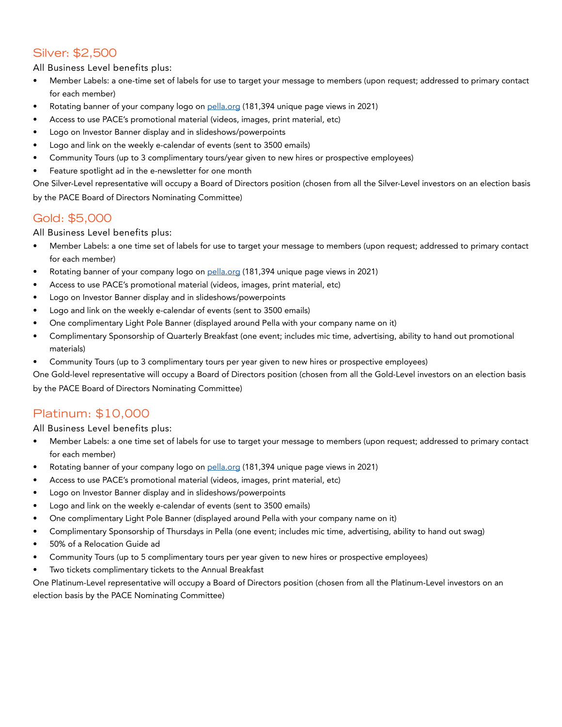#### Silver: \$2,500

All Business Level benefits plus:

- Member Labels: a one-time set of labels for use to target your message to members (upon request; addressed to primary contact for each member)
- Rotating banner of your company logo on [pella.org](https://pella.org) (181,394 unique page views in 2021)
- Access to use PACE's promotional material (videos, images, print material, etc)
- Logo on Investor Banner display and in slideshows/powerpoints
- Logo and link on the weekly e-calendar of events (sent to 3500 emails)
- Community Tours (up to 3 complimentary tours/year given to new hires or prospective employees)
- Feature spotlight ad in the e-newsletter for one month

One Silver-Level representative will occupy a Board of Directors position (chosen from all the Silver-Level investors on an election basis by the PACE Board of Directors Nominating Committee)

#### Gold: \$5,000

All Business Level benefits plus:

- Member Labels: a one time set of labels for use to target your message to members (upon request; addressed to primary contact for each member)
- Rotating banner of your company logo on [pella.org](https://pella.org) (181,394 unique page views in 2021)
- Access to use PACE's promotional material (videos, images, print material, etc)
- Logo on Investor Banner display and in slideshows/powerpoints
- Logo and link on the weekly e-calendar of events (sent to 3500 emails)
- One complimentary Light Pole Banner (displayed around Pella with your company name on it)
- Complimentary Sponsorship of Quarterly Breakfast (one event; includes mic time, advertising, ability to hand out promotional materials)
- Community Tours (up to 3 complimentary tours per year given to new hires or prospective employees)

One Gold-level representative will occupy a Board of Directors position (chosen from all the Gold-Level investors on an election basis by the PACE Board of Directors Nominating Committee)

#### Platinum: \$10,000

All Business Level benefits plus:

- Member Labels: a one time set of labels for use to target your message to members (upon request; addressed to primary contact for each member)
- Rotating banner of your company logo on [pella.org](https://pella.org) (181,394 unique page views in 2021)
- Access to use PACE's promotional material (videos, images, print material, etc)
- Logo on Investor Banner display and in slideshows/powerpoints
- Logo and link on the weekly e-calendar of events (sent to 3500 emails)
- One complimentary Light Pole Banner (displayed around Pella with your company name on it)
- Complimentary Sponsorship of Thursdays in Pella (one event; includes mic time, advertising, ability to hand out swag)
- 50% of a Relocation Guide ad
- Community Tours (up to 5 complimentary tours per year given to new hires or prospective employees)
- Two tickets complimentary tickets to the Annual Breakfast

One Platinum-Level representative will occupy a Board of Directors position (chosen from all the Platinum-Level investors on an election basis by the PACE Nominating Committee)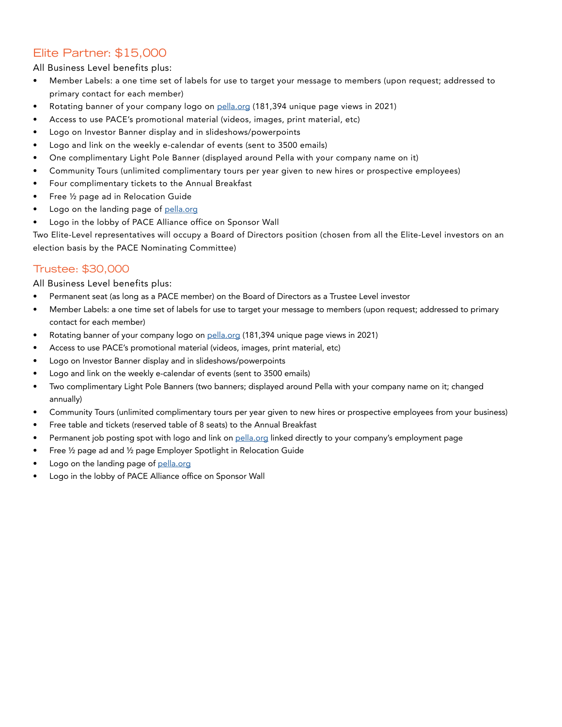#### Elite Partner: \$15,000

All Business Level benefits plus:

- Member Labels: a one time set of labels for use to target your message to members (upon request; addressed to primary contact for each member)
- Rotating banner of your company logo on [pella.org](https://pella.org) (181,394 unique page views in 2021)
- Access to use PACE's promotional material (videos, images, print material, etc)
- Logo on Investor Banner display and in slideshows/powerpoints
- Logo and link on the weekly e-calendar of events (sent to 3500 emails)
- One complimentary Light Pole Banner (displayed around Pella with your company name on it)
- Community Tours (unlimited complimentary tours per year given to new hires or prospective employees)
- Four complimentary tickets to the Annual Breakfast
- Free ½ page ad in Relocation Guide
- Logo on the landing page of [pella.org](https://pella.org)
- Logo in the lobby of PACE Alliance office on Sponsor Wall

Two Elite-Level representatives will occupy a Board of Directors position (chosen from all the Elite-Level investors on an election basis by the PACE Nominating Committee)

#### Trustee: \$30,000

All Business Level benefits plus:

- Permanent seat (as long as a PACE member) on the Board of Directors as a Trustee Level investor
- Member Labels: a one time set of labels for use to target your message to members (upon request; addressed to primary contact for each member)
- Rotating banner of your company logo on [pella.org](https://pella.org) (181,394 unique page views in 2021)
- Access to use PACE's promotional material (videos, images, print material, etc)
- Logo on Investor Banner display and in slideshows/powerpoints
- Logo and link on the weekly e-calendar of events (sent to 3500 emails)
- Two complimentary Light Pole Banners (two banners; displayed around Pella with your company name on it; changed annually)
- Community Tours (unlimited complimentary tours per year given to new hires or prospective employees from your business)
- Free table and tickets (reserved table of 8 seats) to the Annual Breakfast
- Permanent job posting spot with logo and link on [pella.org](https://pella.org) linked directly to your company's employment page
- Free ½ page ad and ½ page Employer Spotlight in Relocation Guide
- Logo on the landing page of [pella.org](https://pella.org)
- Logo in the lobby of PACE Alliance office on Sponsor Wall